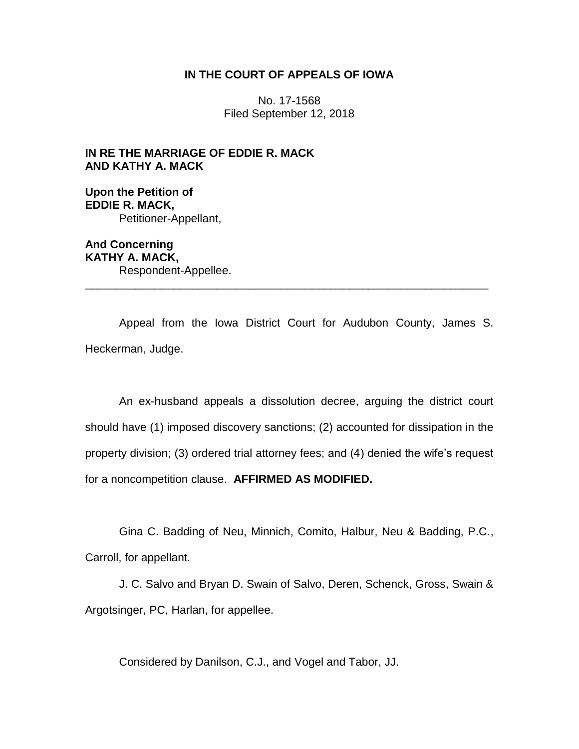# **IN THE COURT OF APPEALS OF IOWA**

No. 17-1568 Filed September 12, 2018

**IN RE THE MARRIAGE OF EDDIE R. MACK AND KATHY A. MACK**

**Upon the Petition of EDDIE R. MACK,** Petitioner-Appellant,

**And Concerning KATHY A. MACK,** Respondent-Appellee. \_\_\_\_\_\_\_\_\_\_\_\_\_\_\_\_\_\_\_\_\_\_\_\_\_\_\_\_\_\_\_\_\_\_\_\_\_\_\_\_\_\_\_\_\_\_\_\_\_\_\_\_\_\_\_\_\_\_\_\_\_\_\_\_

Appeal from the Iowa District Court for Audubon County, James S. Heckerman, Judge.

An ex-husband appeals a dissolution decree, arguing the district court should have (1) imposed discovery sanctions; (2) accounted for dissipation in the property division; (3) ordered trial attorney fees; and (4) denied the wife's request for a noncompetition clause. **AFFIRMED AS MODIFIED.**

Gina C. Badding of Neu, Minnich, Comito, Halbur, Neu & Badding, P.C., Carroll, for appellant.

J. C. Salvo and Bryan D. Swain of Salvo, Deren, Schenck, Gross, Swain & Argotsinger, PC, Harlan, for appellee.

Considered by Danilson, C.J., and Vogel and Tabor, JJ.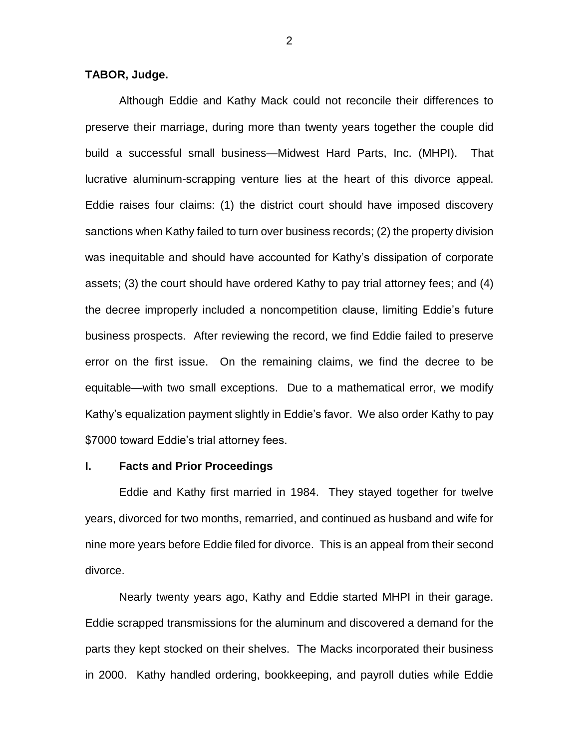## **TABOR, Judge.**

Although Eddie and Kathy Mack could not reconcile their differences to preserve their marriage, during more than twenty years together the couple did build a successful small business—Midwest Hard Parts, Inc. (MHPI). That lucrative aluminum-scrapping venture lies at the heart of this divorce appeal. Eddie raises four claims: (1) the district court should have imposed discovery sanctions when Kathy failed to turn over business records; (2) the property division was inequitable and should have accounted for Kathy's dissipation of corporate assets; (3) the court should have ordered Kathy to pay trial attorney fees; and (4) the decree improperly included a noncompetition clause, limiting Eddie's future business prospects. After reviewing the record, we find Eddie failed to preserve error on the first issue. On the remaining claims, we find the decree to be equitable—with two small exceptions. Due to a mathematical error, we modify Kathy's equalization payment slightly in Eddie's favor. We also order Kathy to pay \$7000 toward Eddie's trial attorney fees.

## **I. Facts and Prior Proceedings**

Eddie and Kathy first married in 1984. They stayed together for twelve years, divorced for two months, remarried, and continued as husband and wife for nine more years before Eddie filed for divorce. This is an appeal from their second divorce.

Nearly twenty years ago, Kathy and Eddie started MHPI in their garage. Eddie scrapped transmissions for the aluminum and discovered a demand for the parts they kept stocked on their shelves. The Macks incorporated their business in 2000. Kathy handled ordering, bookkeeping, and payroll duties while Eddie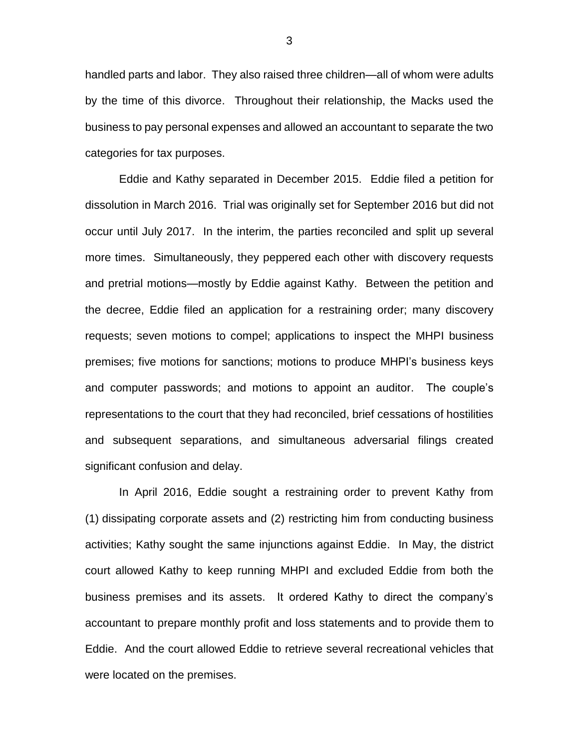handled parts and labor. They also raised three children—all of whom were adults by the time of this divorce. Throughout their relationship, the Macks used the business to pay personal expenses and allowed an accountant to separate the two categories for tax purposes.

Eddie and Kathy separated in December 2015. Eddie filed a petition for dissolution in March 2016. Trial was originally set for September 2016 but did not occur until July 2017. In the interim, the parties reconciled and split up several more times. Simultaneously, they peppered each other with discovery requests and pretrial motions—mostly by Eddie against Kathy. Between the petition and the decree, Eddie filed an application for a restraining order; many discovery requests; seven motions to compel; applications to inspect the MHPI business premises; five motions for sanctions; motions to produce MHPI's business keys and computer passwords; and motions to appoint an auditor. The couple's representations to the court that they had reconciled, brief cessations of hostilities and subsequent separations, and simultaneous adversarial filings created significant confusion and delay.

In April 2016, Eddie sought a restraining order to prevent Kathy from (1) dissipating corporate assets and (2) restricting him from conducting business activities; Kathy sought the same injunctions against Eddie. In May, the district court allowed Kathy to keep running MHPI and excluded Eddie from both the business premises and its assets. It ordered Kathy to direct the company's accountant to prepare monthly profit and loss statements and to provide them to Eddie. And the court allowed Eddie to retrieve several recreational vehicles that were located on the premises.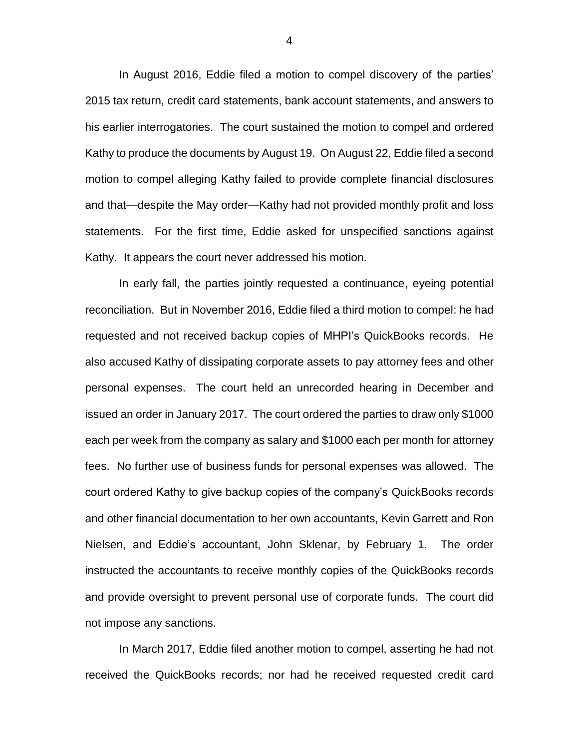In August 2016, Eddie filed a motion to compel discovery of the parties' 2015 tax return, credit card statements, bank account statements, and answers to his earlier interrogatories. The court sustained the motion to compel and ordered Kathy to produce the documents by August 19. On August 22, Eddie filed a second motion to compel alleging Kathy failed to provide complete financial disclosures and that—despite the May order—Kathy had not provided monthly profit and loss statements. For the first time, Eddie asked for unspecified sanctions against Kathy. It appears the court never addressed his motion.

In early fall, the parties jointly requested a continuance, eyeing potential reconciliation. But in November 2016, Eddie filed a third motion to compel: he had requested and not received backup copies of MHPI's QuickBooks records. He also accused Kathy of dissipating corporate assets to pay attorney fees and other personal expenses. The court held an unrecorded hearing in December and issued an order in January 2017. The court ordered the parties to draw only \$1000 each per week from the company as salary and \$1000 each per month for attorney fees. No further use of business funds for personal expenses was allowed. The court ordered Kathy to give backup copies of the company's QuickBooks records and other financial documentation to her own accountants, Kevin Garrett and Ron Nielsen, and Eddie's accountant, John Sklenar, by February 1. The order instructed the accountants to receive monthly copies of the QuickBooks records and provide oversight to prevent personal use of corporate funds. The court did not impose any sanctions.

In March 2017, Eddie filed another motion to compel, asserting he had not received the QuickBooks records; nor had he received requested credit card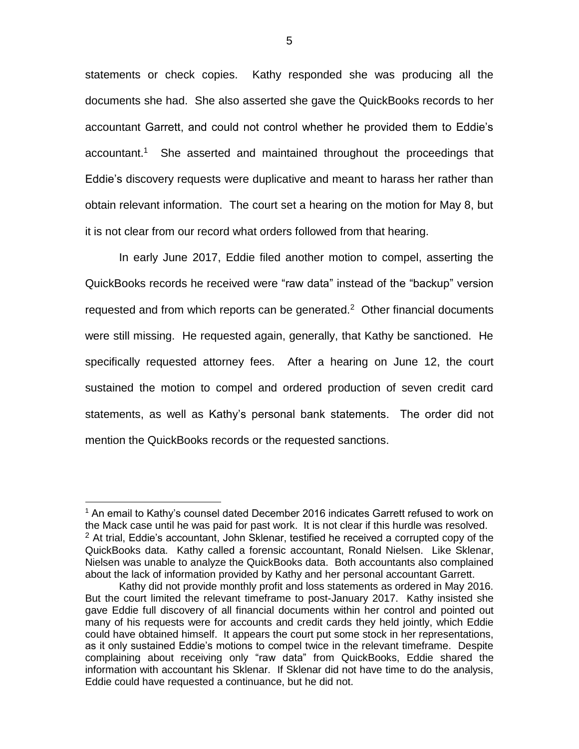statements or check copies. Kathy responded she was producing all the documents she had. She also asserted she gave the QuickBooks records to her accountant Garrett, and could not control whether he provided them to Eddie's accountant.<sup>1</sup> She asserted and maintained throughout the proceedings that Eddie's discovery requests were duplicative and meant to harass her rather than obtain relevant information. The court set a hearing on the motion for May 8, but it is not clear from our record what orders followed from that hearing.

In early June 2017, Eddie filed another motion to compel, asserting the QuickBooks records he received were "raw data" instead of the "backup" version requested and from which reports can be generated. $2$  Other financial documents were still missing. He requested again, generally, that Kathy be sanctioned. He specifically requested attorney fees. After a hearing on June 12, the court sustained the motion to compel and ordered production of seven credit card statements, as well as Kathy's personal bank statements. The order did not mention the QuickBooks records or the requested sanctions.

 $\overline{a}$ 

<sup>&</sup>lt;sup>1</sup> An email to Kathy's counsel dated December 2016 indicates Garrett refused to work on the Mack case until he was paid for past work. It is not clear if this hurdle was resolved.  $2$  At trial, Eddie's accountant, John Sklenar, testified he received a corrupted copy of the QuickBooks data. Kathy called a forensic accountant, Ronald Nielsen. Like Sklenar, Nielsen was unable to analyze the QuickBooks data. Both accountants also complained about the lack of information provided by Kathy and her personal accountant Garrett.

Kathy did not provide monthly profit and loss statements as ordered in May 2016. But the court limited the relevant timeframe to post-January 2017. Kathy insisted she gave Eddie full discovery of all financial documents within her control and pointed out many of his requests were for accounts and credit cards they held jointly, which Eddie could have obtained himself. It appears the court put some stock in her representations, as it only sustained Eddie's motions to compel twice in the relevant timeframe. Despite complaining about receiving only "raw data" from QuickBooks, Eddie shared the information with accountant his Sklenar. If Sklenar did not have time to do the analysis, Eddie could have requested a continuance, but he did not.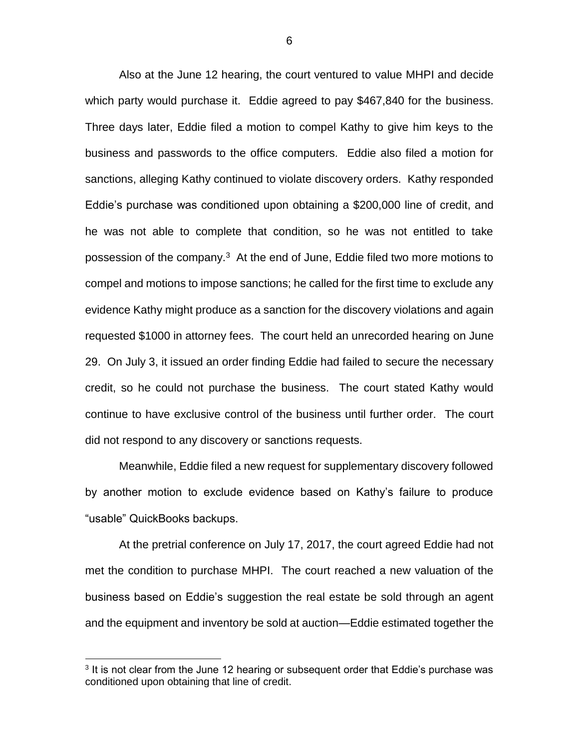Also at the June 12 hearing, the court ventured to value MHPI and decide which party would purchase it. Eddie agreed to pay \$467,840 for the business. Three days later, Eddie filed a motion to compel Kathy to give him keys to the business and passwords to the office computers. Eddie also filed a motion for sanctions, alleging Kathy continued to violate discovery orders. Kathy responded Eddie's purchase was conditioned upon obtaining a \$200,000 line of credit, and he was not able to complete that condition, so he was not entitled to take possession of the company.<sup>3</sup> At the end of June, Eddie filed two more motions to compel and motions to impose sanctions; he called for the first time to exclude any evidence Kathy might produce as a sanction for the discovery violations and again requested \$1000 in attorney fees. The court held an unrecorded hearing on June 29. On July 3, it issued an order finding Eddie had failed to secure the necessary credit, so he could not purchase the business. The court stated Kathy would continue to have exclusive control of the business until further order. The court did not respond to any discovery or sanctions requests.

Meanwhile, Eddie filed a new request for supplementary discovery followed by another motion to exclude evidence based on Kathy's failure to produce "usable" QuickBooks backups.

At the pretrial conference on July 17, 2017, the court agreed Eddie had not met the condition to purchase MHPI. The court reached a new valuation of the business based on Eddie's suggestion the real estate be sold through an agent and the equipment and inventory be sold at auction—Eddie estimated together the

 $\overline{a}$ 

<sup>&</sup>lt;sup>3</sup> It is not clear from the June 12 hearing or subsequent order that Eddie's purchase was conditioned upon obtaining that line of credit.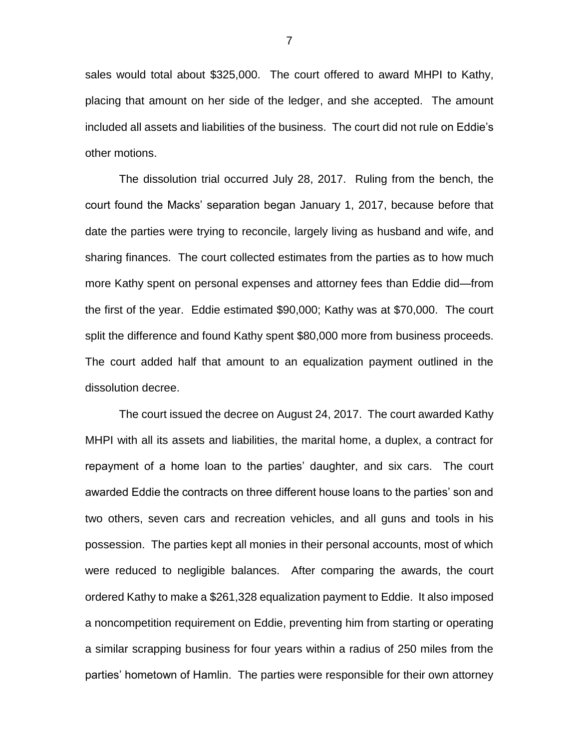sales would total about \$325,000. The court offered to award MHPI to Kathy, placing that amount on her side of the ledger, and she accepted. The amount included all assets and liabilities of the business. The court did not rule on Eddie's other motions.

The dissolution trial occurred July 28, 2017. Ruling from the bench, the court found the Macks' separation began January 1, 2017, because before that date the parties were trying to reconcile, largely living as husband and wife, and sharing finances. The court collected estimates from the parties as to how much more Kathy spent on personal expenses and attorney fees than Eddie did—from the first of the year. Eddie estimated \$90,000; Kathy was at \$70,000. The court split the difference and found Kathy spent \$80,000 more from business proceeds. The court added half that amount to an equalization payment outlined in the dissolution decree.

The court issued the decree on August 24, 2017. The court awarded Kathy MHPI with all its assets and liabilities, the marital home, a duplex, a contract for repayment of a home loan to the parties' daughter, and six cars. The court awarded Eddie the contracts on three different house loans to the parties' son and two others, seven cars and recreation vehicles, and all guns and tools in his possession. The parties kept all monies in their personal accounts, most of which were reduced to negligible balances. After comparing the awards, the court ordered Kathy to make a \$261,328 equalization payment to Eddie. It also imposed a noncompetition requirement on Eddie, preventing him from starting or operating a similar scrapping business for four years within a radius of 250 miles from the parties' hometown of Hamlin. The parties were responsible for their own attorney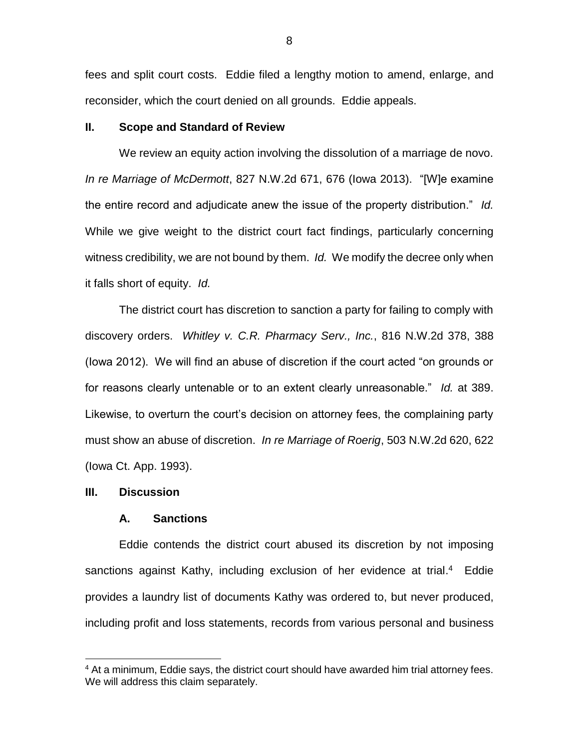fees and split court costs. Eddie filed a lengthy motion to amend, enlarge, and reconsider, which the court denied on all grounds. Eddie appeals.

## **II. Scope and Standard of Review**

We review an equity action involving the dissolution of a marriage de novo. *In re Marriage of McDermott*, 827 N.W.2d 671, 676 (Iowa 2013). "[W]e examine the entire record and adjudicate anew the issue of the property distribution." *Id.* While we give weight to the district court fact findings, particularly concerning witness credibility, we are not bound by them. *Id.* We modify the decree only when it falls short of equity. *Id.*

The district court has discretion to sanction a party for failing to comply with discovery orders. *Whitley v. C.R. Pharmacy Serv., Inc.*, 816 N.W.2d 378, 388 (Iowa 2012). We will find an abuse of discretion if the court acted "on grounds or for reasons clearly untenable or to an extent clearly unreasonable." *Id.* at 389. Likewise, to overturn the court's decision on attorney fees, the complaining party must show an abuse of discretion. *In re Marriage of Roerig*, 503 N.W.2d 620, 622 (Iowa Ct. App. 1993).

#### **III. Discussion**

 $\overline{a}$ 

### **A. Sanctions**

Eddie contends the district court abused its discretion by not imposing sanctions against Kathy, including exclusion of her evidence at trial.<sup>4</sup> Eddie provides a laundry list of documents Kathy was ordered to, but never produced, including profit and loss statements, records from various personal and business

<sup>&</sup>lt;sup>4</sup> At a minimum, Eddie says, the district court should have awarded him trial attorney fees. We will address this claim separately.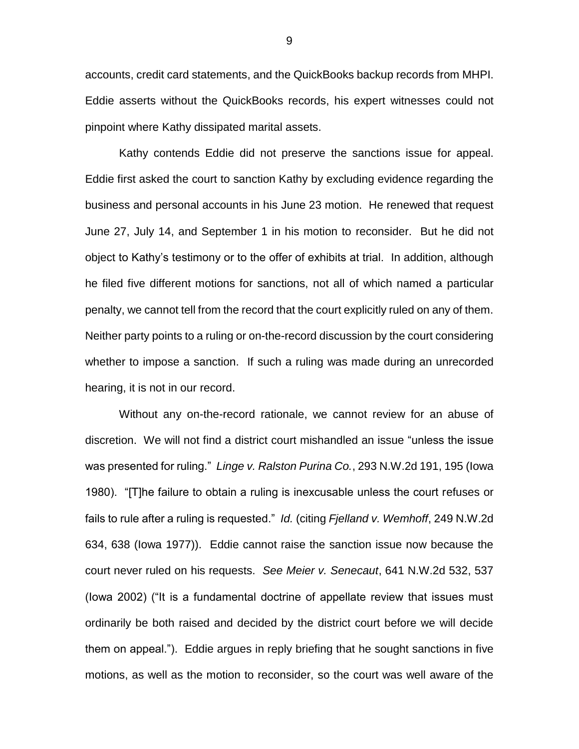accounts, credit card statements, and the QuickBooks backup records from MHPI. Eddie asserts without the QuickBooks records, his expert witnesses could not pinpoint where Kathy dissipated marital assets.

Kathy contends Eddie did not preserve the sanctions issue for appeal. Eddie first asked the court to sanction Kathy by excluding evidence regarding the business and personal accounts in his June 23 motion. He renewed that request June 27, July 14, and September 1 in his motion to reconsider. But he did not object to Kathy's testimony or to the offer of exhibits at trial. In addition, although he filed five different motions for sanctions, not all of which named a particular penalty, we cannot tell from the record that the court explicitly ruled on any of them. Neither party points to a ruling or on-the-record discussion by the court considering whether to impose a sanction. If such a ruling was made during an unrecorded hearing, it is not in our record.

Without any on-the-record rationale, we cannot review for an abuse of discretion. We will not find a district court mishandled an issue "unless the issue was presented for ruling." *Linge v. Ralston Purina Co.*, 293 N.W.2d 191, 195 (Iowa 1980). "[T]he failure to obtain a ruling is inexcusable unless the court refuses or fails to rule after a ruling is requested." *Id.* (citing *Fjelland v. Wemhoff*, 249 N.W.2d 634, 638 (Iowa 1977)). Eddie cannot raise the sanction issue now because the court never ruled on his requests. *See Meier v. Senecaut*, 641 N.W.2d 532, 537 (Iowa 2002) ("It is a fundamental doctrine of appellate review that issues must ordinarily be both raised and decided by the district court before we will decide them on appeal."). Eddie argues in reply briefing that he sought sanctions in five motions, as well as the motion to reconsider, so the court was well aware of the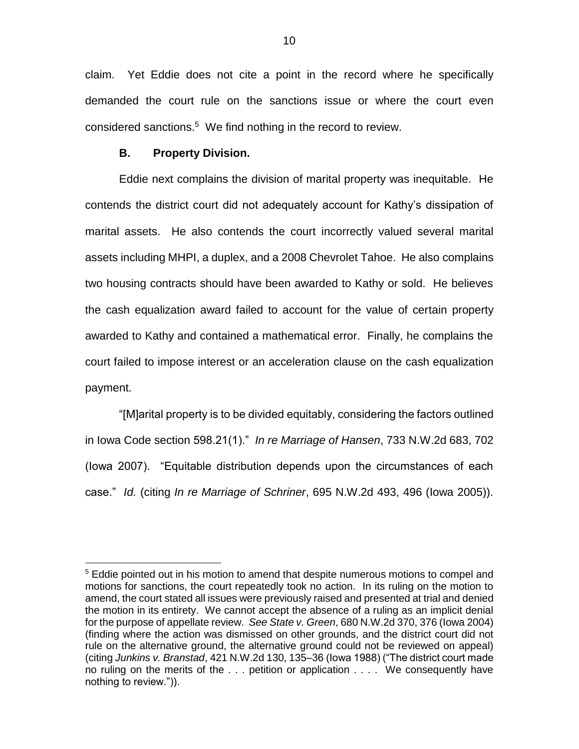claim. Yet Eddie does not cite a point in the record where he specifically demanded the court rule on the sanctions issue or where the court even considered sanctions. 5 We find nothing in the record to review.

### **B. Property Division.**

 $\overline{a}$ 

Eddie next complains the division of marital property was inequitable. He contends the district court did not adequately account for Kathy's dissipation of marital assets. He also contends the court incorrectly valued several marital assets including MHPI, a duplex, and a 2008 Chevrolet Tahoe. He also complains two housing contracts should have been awarded to Kathy or sold. He believes the cash equalization award failed to account for the value of certain property awarded to Kathy and contained a mathematical error. Finally, he complains the court failed to impose interest or an acceleration clause on the cash equalization payment.

"[M]arital property is to be divided equitably, considering the factors outlined in Iowa Code section 598.21(1)." *In re Marriage of Hansen*, 733 N.W.2d 683, 702 (Iowa 2007). "Equitable distribution depends upon the circumstances of each case." *Id.* (citing *In re Marriage of Schriner*, 695 N.W.2d 493, 496 (Iowa 2005)).

<sup>&</sup>lt;sup>5</sup> Eddie pointed out in his motion to amend that despite numerous motions to compel and motions for sanctions, the court repeatedly took no action. In its ruling on the motion to amend, the court stated all issues were previously raised and presented at trial and denied the motion in its entirety. We cannot accept the absence of a ruling as an implicit denial for the purpose of appellate review. *See State v. Green*, 680 N.W.2d 370, 376 (Iowa 2004) (finding where the action was dismissed on other grounds, and the district court did not rule on the alternative ground, the alternative ground could not be reviewed on appeal) (citing *Junkins v. Branstad*, 421 N.W.2d 130, 135–36 (Iowa 1988) ("The district court made no ruling on the merits of the . . . petition or application . . . . We consequently have nothing to review.")).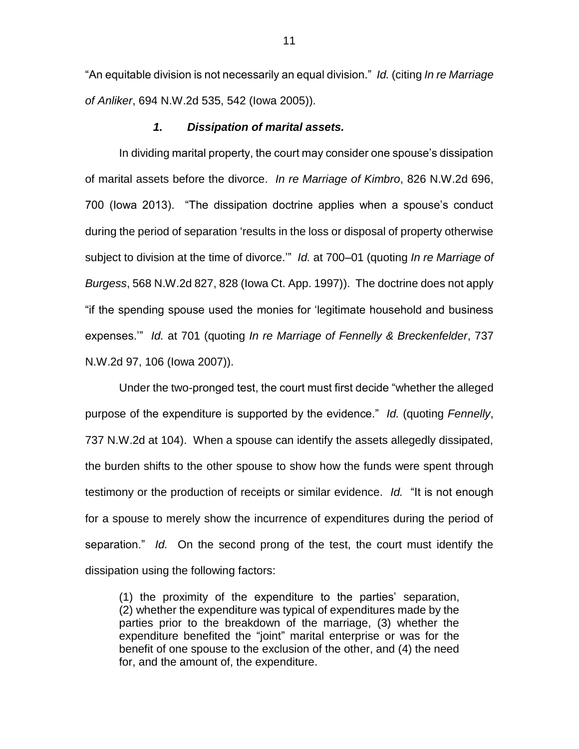"An equitable division is not necessarily an equal division." *Id.* (citing *In re Marriage of Anliker*, 694 N.W.2d 535, 542 (Iowa 2005)).

## *1. Dissipation of marital assets.*

In dividing marital property, the court may consider one spouse's dissipation of marital assets before the divorce. *In re Marriage of Kimbro*, 826 N.W.2d 696, 700 (Iowa 2013). "The dissipation doctrine applies when a spouse's conduct during the period of separation 'results in the loss or disposal of property otherwise subject to division at the time of divorce.'" *Id.* at 700–01 (quoting *In re Marriage of Burgess*, 568 N.W.2d 827, 828 (Iowa Ct. App. 1997)). The doctrine does not apply "if the spending spouse used the monies for 'legitimate household and business expenses.'" *Id.* at 701 (quoting *In re Marriage of Fennelly & Breckenfelder*, 737 N.W.2d 97, 106 (Iowa 2007)).

Under the two-pronged test, the court must first decide "whether the alleged purpose of the expenditure is supported by the evidence." *Id.* (quoting *Fennelly*, 737 N.W.2d at 104). When a spouse can identify the assets allegedly dissipated, the burden shifts to the other spouse to show how the funds were spent through testimony or the production of receipts or similar evidence. *Id.* "It is not enough for a spouse to merely show the incurrence of expenditures during the period of separation." *Id.* On the second prong of the test, the court must identify the dissipation using the following factors:

(1) the proximity of the expenditure to the parties' separation, (2) whether the expenditure was typical of expenditures made by the parties prior to the breakdown of the marriage, (3) whether the expenditure benefited the "joint" marital enterprise or was for the benefit of one spouse to the exclusion of the other, and (4) the need for, and the amount of, the expenditure.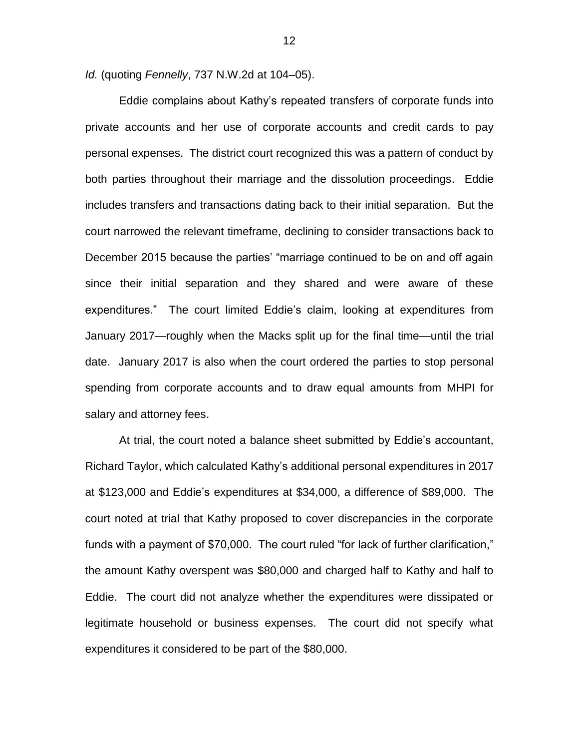*Id.* (quoting *Fennelly*, 737 N.W.2d at 104–05).

Eddie complains about Kathy's repeated transfers of corporate funds into private accounts and her use of corporate accounts and credit cards to pay personal expenses. The district court recognized this was a pattern of conduct by both parties throughout their marriage and the dissolution proceedings. Eddie includes transfers and transactions dating back to their initial separation. But the court narrowed the relevant timeframe, declining to consider transactions back to December 2015 because the parties' "marriage continued to be on and off again since their initial separation and they shared and were aware of these expenditures." The court limited Eddie's claim, looking at expenditures from January 2017—roughly when the Macks split up for the final time—until the trial date. January 2017 is also when the court ordered the parties to stop personal spending from corporate accounts and to draw equal amounts from MHPI for salary and attorney fees.

At trial, the court noted a balance sheet submitted by Eddie's accountant, Richard Taylor, which calculated Kathy's additional personal expenditures in 2017 at \$123,000 and Eddie's expenditures at \$34,000, a difference of \$89,000. The court noted at trial that Kathy proposed to cover discrepancies in the corporate funds with a payment of \$70,000. The court ruled "for lack of further clarification," the amount Kathy overspent was \$80,000 and charged half to Kathy and half to Eddie. The court did not analyze whether the expenditures were dissipated or legitimate household or business expenses. The court did not specify what expenditures it considered to be part of the \$80,000.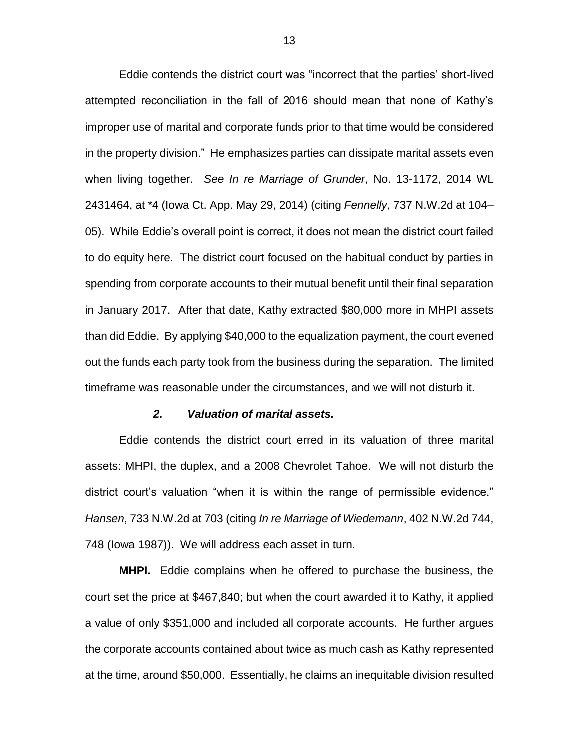Eddie contends the district court was "incorrect that the parties' short-lived attempted reconciliation in the fall of 2016 should mean that none of Kathy's improper use of marital and corporate funds prior to that time would be considered in the property division." He emphasizes parties can dissipate marital assets even when living together. *See In re Marriage of Grunder*, No. 13-1172, 2014 WL 2431464, at \*4 (Iowa Ct. App. May 29, 2014) (citing *Fennelly*, 737 N.W.2d at 104– 05). While Eddie's overall point is correct, it does not mean the district court failed to do equity here. The district court focused on the habitual conduct by parties in spending from corporate accounts to their mutual benefit until their final separation in January 2017. After that date, Kathy extracted \$80,000 more in MHPI assets than did Eddie. By applying \$40,000 to the equalization payment, the court evened out the funds each party took from the business during the separation. The limited timeframe was reasonable under the circumstances, and we will not disturb it.

### *2. Valuation of marital assets.*

Eddie contends the district court erred in its valuation of three marital assets: MHPI, the duplex, and a 2008 Chevrolet Tahoe. We will not disturb the district court's valuation "when it is within the range of permissible evidence." *Hansen*, 733 N.W.2d at 703 (citing *In re Marriage of Wiedemann*, 402 N.W.2d 744, 748 (Iowa 1987)). We will address each asset in turn.

**MHPI.** Eddie complains when he offered to purchase the business, the court set the price at \$467,840; but when the court awarded it to Kathy, it applied a value of only \$351,000 and included all corporate accounts. He further argues the corporate accounts contained about twice as much cash as Kathy represented at the time, around \$50,000. Essentially, he claims an inequitable division resulted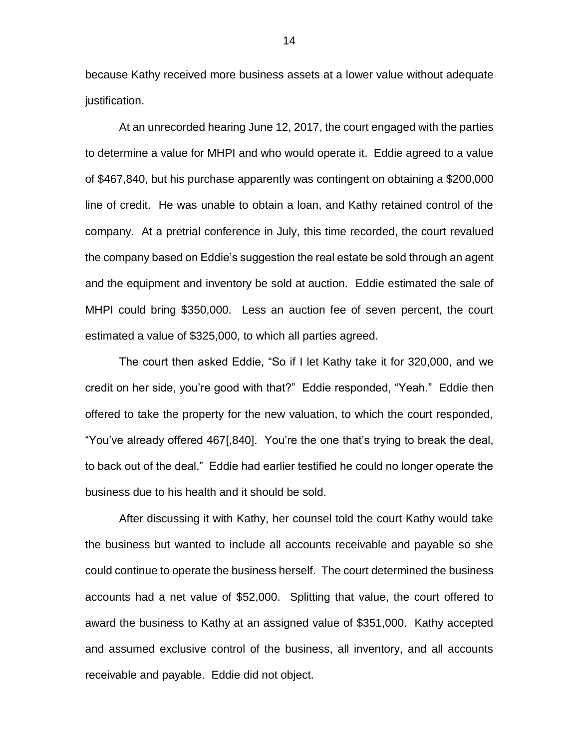because Kathy received more business assets at a lower value without adequate justification.

At an unrecorded hearing June 12, 2017, the court engaged with the parties to determine a value for MHPI and who would operate it. Eddie agreed to a value of \$467,840, but his purchase apparently was contingent on obtaining a \$200,000 line of credit. He was unable to obtain a loan, and Kathy retained control of the company. At a pretrial conference in July, this time recorded, the court revalued the company based on Eddie's suggestion the real estate be sold through an agent and the equipment and inventory be sold at auction. Eddie estimated the sale of MHPI could bring \$350,000. Less an auction fee of seven percent, the court estimated a value of \$325,000, to which all parties agreed.

The court then asked Eddie, "So if I let Kathy take it for 320,000, and we credit on her side, you're good with that?" Eddie responded, "Yeah." Eddie then offered to take the property for the new valuation, to which the court responded, "You've already offered 467[,840]. You're the one that's trying to break the deal, to back out of the deal." Eddie had earlier testified he could no longer operate the business due to his health and it should be sold.

After discussing it with Kathy, her counsel told the court Kathy would take the business but wanted to include all accounts receivable and payable so she could continue to operate the business herself. The court determined the business accounts had a net value of \$52,000. Splitting that value, the court offered to award the business to Kathy at an assigned value of \$351,000. Kathy accepted and assumed exclusive control of the business, all inventory, and all accounts receivable and payable. Eddie did not object.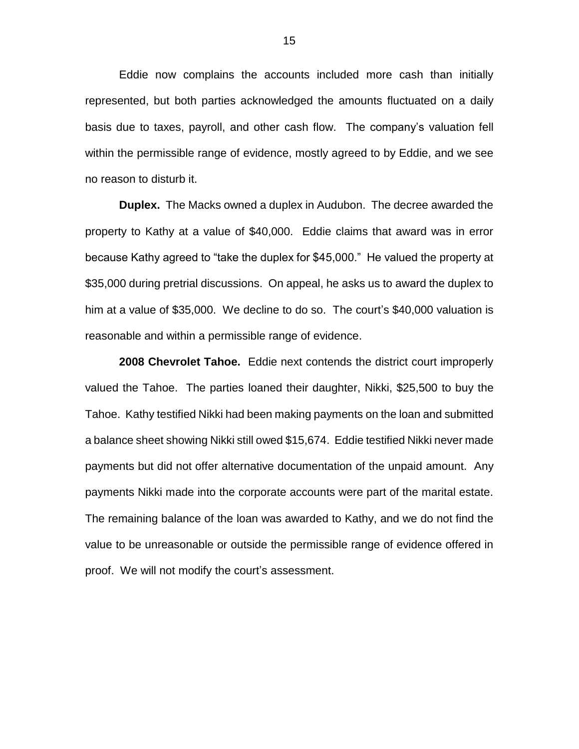Eddie now complains the accounts included more cash than initially represented, but both parties acknowledged the amounts fluctuated on a daily basis due to taxes, payroll, and other cash flow. The company's valuation fell within the permissible range of evidence, mostly agreed to by Eddie, and we see no reason to disturb it.

**Duplex.** The Macks owned a duplex in Audubon. The decree awarded the property to Kathy at a value of \$40,000. Eddie claims that award was in error because Kathy agreed to "take the duplex for \$45,000." He valued the property at \$35,000 during pretrial discussions. On appeal, he asks us to award the duplex to him at a value of \$35,000. We decline to do so. The court's \$40,000 valuation is reasonable and within a permissible range of evidence.

**2008 Chevrolet Tahoe.** Eddie next contends the district court improperly valued the Tahoe. The parties loaned their daughter, Nikki, \$25,500 to buy the Tahoe. Kathy testified Nikki had been making payments on the loan and submitted a balance sheet showing Nikki still owed \$15,674. Eddie testified Nikki never made payments but did not offer alternative documentation of the unpaid amount. Any payments Nikki made into the corporate accounts were part of the marital estate. The remaining balance of the loan was awarded to Kathy, and we do not find the value to be unreasonable or outside the permissible range of evidence offered in proof. We will not modify the court's assessment.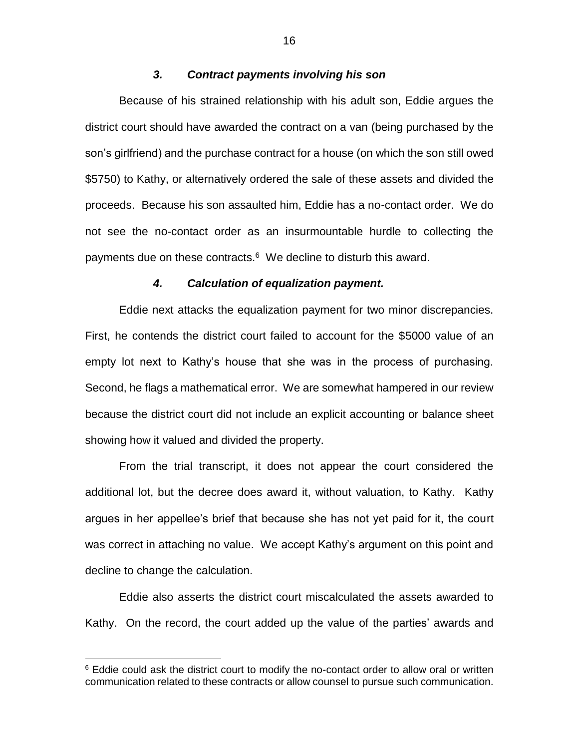# *3. Contract payments involving his son*

Because of his strained relationship with his adult son, Eddie argues the district court should have awarded the contract on a van (being purchased by the son's girlfriend) and the purchase contract for a house (on which the son still owed \$5750) to Kathy, or alternatively ordered the sale of these assets and divided the proceeds. Because his son assaulted him, Eddie has a no-contact order. We do not see the no-contact order as an insurmountable hurdle to collecting the payments due on these contracts.<sup>6</sup> We decline to disturb this award.

## *4. Calculation of equalization payment.*

Eddie next attacks the equalization payment for two minor discrepancies. First, he contends the district court failed to account for the \$5000 value of an empty lot next to Kathy's house that she was in the process of purchasing. Second, he flags a mathematical error. We are somewhat hampered in our review because the district court did not include an explicit accounting or balance sheet showing how it valued and divided the property.

From the trial transcript, it does not appear the court considered the additional lot, but the decree does award it, without valuation, to Kathy. Kathy argues in her appellee's brief that because she has not yet paid for it, the court was correct in attaching no value. We accept Kathy's argument on this point and decline to change the calculation.

Eddie also asserts the district court miscalculated the assets awarded to Kathy. On the record, the court added up the value of the parties' awards and

 $\overline{a}$ 

 $6$  Eddie could ask the district court to modify the no-contact order to allow oral or written communication related to these contracts or allow counsel to pursue such communication.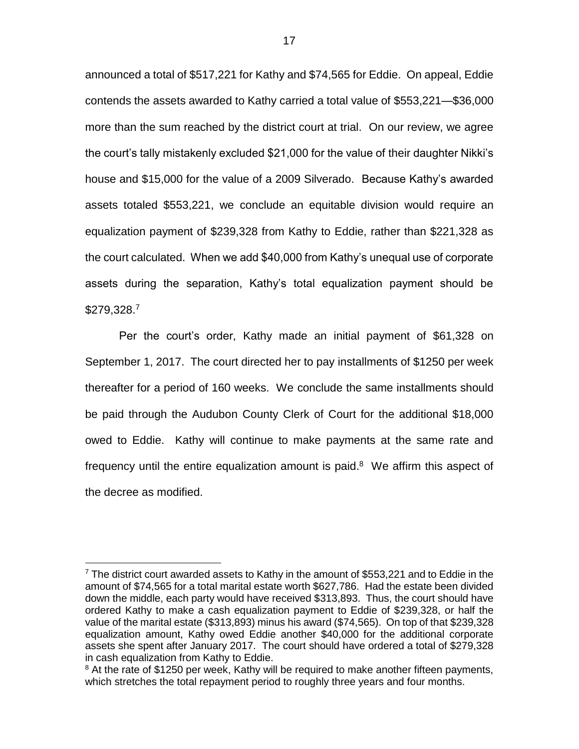announced a total of \$517,221 for Kathy and \$74,565 for Eddie. On appeal, Eddie contends the assets awarded to Kathy carried a total value of \$553,221—\$36,000 more than the sum reached by the district court at trial. On our review, we agree the court's tally mistakenly excluded \$21,000 for the value of their daughter Nikki's house and \$15,000 for the value of a 2009 Silverado. Because Kathy's awarded assets totaled \$553,221, we conclude an equitable division would require an equalization payment of \$239,328 from Kathy to Eddie, rather than \$221,328 as the court calculated. When we add \$40,000 from Kathy's unequal use of corporate assets during the separation, Kathy's total equalization payment should be \$279,328.<sup>7</sup>

Per the court's order, Kathy made an initial payment of \$61,328 on September 1, 2017. The court directed her to pay installments of \$1250 per week thereafter for a period of 160 weeks. We conclude the same installments should be paid through the Audubon County Clerk of Court for the additional \$18,000 owed to Eddie. Kathy will continue to make payments at the same rate and frequency until the entire equalization amount is paid.<sup>8</sup> We affirm this aspect of the decree as modified.

 $\overline{a}$ 

 $7$  The district court awarded assets to Kathy in the amount of \$553,221 and to Eddie in the amount of \$74,565 for a total marital estate worth \$627,786. Had the estate been divided down the middle, each party would have received \$313,893. Thus, the court should have ordered Kathy to make a cash equalization payment to Eddie of \$239,328, or half the value of the marital estate (\$313,893) minus his award (\$74,565). On top of that \$239,328 equalization amount, Kathy owed Eddie another \$40,000 for the additional corporate assets she spent after January 2017. The court should have ordered a total of \$279,328 in cash equalization from Kathy to Eddie.

<sup>&</sup>lt;sup>8</sup> At the rate of \$1250 per week, Kathy will be required to make another fifteen payments, which stretches the total repayment period to roughly three years and four months.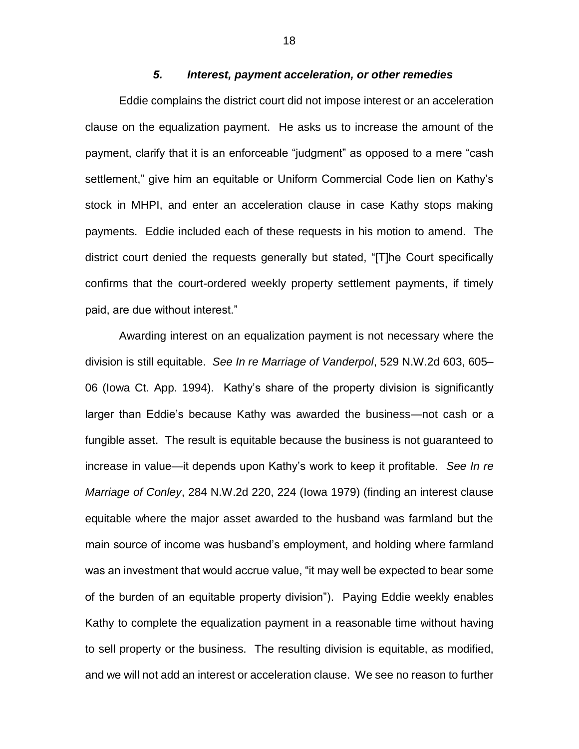# *5. Interest, payment acceleration, or other remedies*

Eddie complains the district court did not impose interest or an acceleration clause on the equalization payment. He asks us to increase the amount of the payment, clarify that it is an enforceable "judgment" as opposed to a mere "cash settlement," give him an equitable or Uniform Commercial Code lien on Kathy's stock in MHPI, and enter an acceleration clause in case Kathy stops making payments. Eddie included each of these requests in his motion to amend. The district court denied the requests generally but stated, "[T]he Court specifically confirms that the court-ordered weekly property settlement payments, if timely paid, are due without interest."

Awarding interest on an equalization payment is not necessary where the division is still equitable. *See In re Marriage of Vanderpol*, 529 N.W.2d 603, 605– 06 (Iowa Ct. App. 1994). Kathy's share of the property division is significantly larger than Eddie's because Kathy was awarded the business—not cash or a fungible asset. The result is equitable because the business is not guaranteed to increase in value—it depends upon Kathy's work to keep it profitable. *See In re Marriage of Conley*, 284 N.W.2d 220, 224 (Iowa 1979) (finding an interest clause equitable where the major asset awarded to the husband was farmland but the main source of income was husband's employment, and holding where farmland was an investment that would accrue value, "it may well be expected to bear some of the burden of an equitable property division"). Paying Eddie weekly enables Kathy to complete the equalization payment in a reasonable time without having to sell property or the business. The resulting division is equitable, as modified, and we will not add an interest or acceleration clause. We see no reason to further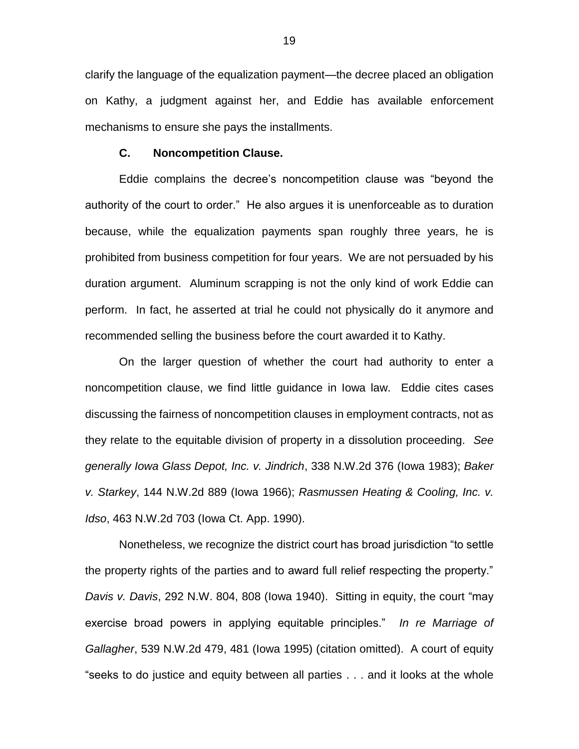clarify the language of the equalization payment—the decree placed an obligation on Kathy, a judgment against her, and Eddie has available enforcement mechanisms to ensure she pays the installments.

### **C. Noncompetition Clause.**

Eddie complains the decree's noncompetition clause was "beyond the authority of the court to order." He also argues it is unenforceable as to duration because, while the equalization payments span roughly three years, he is prohibited from business competition for four years. We are not persuaded by his duration argument. Aluminum scrapping is not the only kind of work Eddie can perform. In fact, he asserted at trial he could not physically do it anymore and recommended selling the business before the court awarded it to Kathy.

On the larger question of whether the court had authority to enter a noncompetition clause, we find little guidance in Iowa law. Eddie cites cases discussing the fairness of noncompetition clauses in employment contracts, not as they relate to the equitable division of property in a dissolution proceeding. *See generally Iowa Glass Depot, Inc. v. Jindrich*, 338 N.W.2d 376 (Iowa 1983); *Baker v. Starkey*, 144 N.W.2d 889 (Iowa 1966); *Rasmussen Heating & Cooling, Inc. v. Idso*, 463 N.W.2d 703 (Iowa Ct. App. 1990).

Nonetheless, we recognize the district court has broad jurisdiction "to settle the property rights of the parties and to award full relief respecting the property." *Davis v. Davis*, 292 N.W. 804, 808 (Iowa 1940). Sitting in equity, the court "may exercise broad powers in applying equitable principles." *In re Marriage of Gallagher*, 539 N.W.2d 479, 481 (Iowa 1995) (citation omitted). A court of equity "seeks to do justice and equity between all parties . . . and it looks at the whole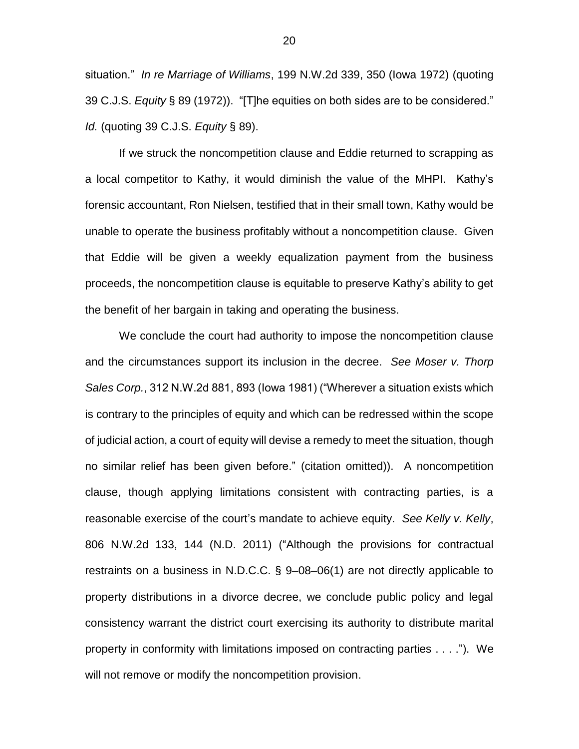situation." *In re Marriage of Williams*, 199 N.W.2d 339, 350 (Iowa 1972) (quoting 39 C.J.S. *Equity* § 89 (1972)). "[T]he equities on both sides are to be considered." *Id.* (quoting 39 C.J.S. *Equity* § 89).

If we struck the noncompetition clause and Eddie returned to scrapping as a local competitor to Kathy, it would diminish the value of the MHPI. Kathy's forensic accountant, Ron Nielsen, testified that in their small town, Kathy would be unable to operate the business profitably without a noncompetition clause. Given that Eddie will be given a weekly equalization payment from the business proceeds, the noncompetition clause is equitable to preserve Kathy's ability to get the benefit of her bargain in taking and operating the business.

We conclude the court had authority to impose the noncompetition clause and the circumstances support its inclusion in the decree. *See Moser v. Thorp Sales Corp.*, 312 N.W.2d 881, 893 (Iowa 1981) ("Wherever a situation exists which is contrary to the principles of equity and which can be redressed within the scope of judicial action, a court of equity will devise a remedy to meet the situation, though no similar relief has been given before." (citation omitted)). A noncompetition clause, though applying limitations consistent with contracting parties, is a reasonable exercise of the court's mandate to achieve equity. *See Kelly v. Kelly*, 806 N.W.2d 133, 144 (N.D. 2011) ("Although the provisions for contractual restraints on a business in N.D.C.C. § 9–08–06(1) are not directly applicable to property distributions in a divorce decree, we conclude public policy and legal consistency warrant the district court exercising its authority to distribute marital property in conformity with limitations imposed on contracting parties . . . ."). We will not remove or modify the noncompetition provision.